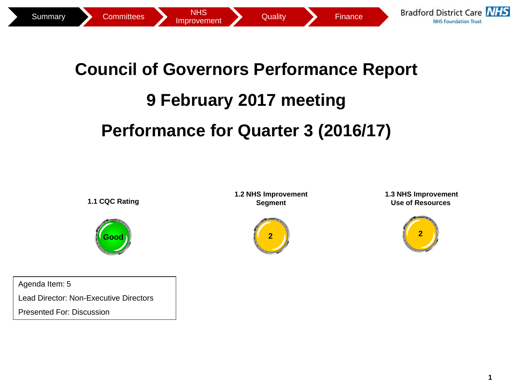

## **Council of Governors Performance Report 9 February 2017 meeting Performance for Quarter 3 (2016/17)**

**1.1 CQC Rating**



Agenda Item: 5 Lead Director: Non-Executive Directors Presented For: Discussion

**1.2 NHS Improvement Segment**

**2**

**1.3 NHS Improvement Use of Resources** 

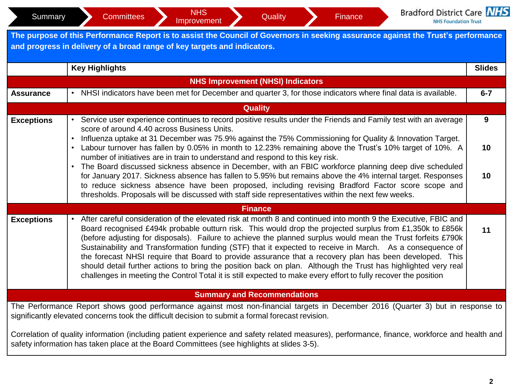| Summary           | <b>Bradford District Care NHS</b><br><b>NHS</b><br><b>Committees</b><br>Quality<br>Finance<br>Improvement<br><b>NHS Foundation Trust</b>                                                                                                                                                                                                                                                                                                                                                                                                                                                                                                                                                                                                                                                                 |               |  |  |  |  |  |  |  |
|-------------------|----------------------------------------------------------------------------------------------------------------------------------------------------------------------------------------------------------------------------------------------------------------------------------------------------------------------------------------------------------------------------------------------------------------------------------------------------------------------------------------------------------------------------------------------------------------------------------------------------------------------------------------------------------------------------------------------------------------------------------------------------------------------------------------------------------|---------------|--|--|--|--|--|--|--|
|                   | The purpose of this Performance Report is to assist the Council of Governors in seeking assurance against the Trust's performance<br>and progress in delivery of a broad range of key targets and indicators.                                                                                                                                                                                                                                                                                                                                                                                                                                                                                                                                                                                            |               |  |  |  |  |  |  |  |
|                   | <b>Key Highlights</b>                                                                                                                                                                                                                                                                                                                                                                                                                                                                                                                                                                                                                                                                                                                                                                                    | <b>Slides</b> |  |  |  |  |  |  |  |
|                   | <b>NHS Improvement (NHSI) Indicators</b>                                                                                                                                                                                                                                                                                                                                                                                                                                                                                                                                                                                                                                                                                                                                                                 |               |  |  |  |  |  |  |  |
| <b>Assurance</b>  | NHSI indicators have been met for December and quarter 3, for those indicators where final data is available.                                                                                                                                                                                                                                                                                                                                                                                                                                                                                                                                                                                                                                                                                            | $6 - 7$       |  |  |  |  |  |  |  |
|                   | <b>Quality</b>                                                                                                                                                                                                                                                                                                                                                                                                                                                                                                                                                                                                                                                                                                                                                                                           |               |  |  |  |  |  |  |  |
| <b>Exceptions</b> | Service user experience continues to record positive results under the Friends and Family test with an average<br>score of around 4.40 across Business Units.                                                                                                                                                                                                                                                                                                                                                                                                                                                                                                                                                                                                                                            | 9             |  |  |  |  |  |  |  |
|                   | Influenza uptake at 31 December was 75.9% against the 75% Commissioning for Quality & Innovation Target.<br>• Labour turnover has fallen by 0.05% in month to 12.23% remaining above the Trust's 10% target of 10%. A<br>10<br>number of initiatives are in train to understand and respond to this key risk.<br>The Board discussed sickness absence in December, with an FBIC workforce planning deep dive scheduled                                                                                                                                                                                                                                                                                                                                                                                   |               |  |  |  |  |  |  |  |
|                   | for January 2017. Sickness absence has fallen to 5.95% but remains above the 4% internal target. Responses<br>10<br>to reduce sickness absence have been proposed, including revising Bradford Factor score scope and<br>thresholds. Proposals will be discussed with staff side representatives within the next few weeks.                                                                                                                                                                                                                                                                                                                                                                                                                                                                              |               |  |  |  |  |  |  |  |
|                   | <b>Finance</b>                                                                                                                                                                                                                                                                                                                                                                                                                                                                                                                                                                                                                                                                                                                                                                                           |               |  |  |  |  |  |  |  |
| <b>Exceptions</b> | After careful consideration of the elevated risk at month 8 and continued into month 9 the Executive, FBIC and<br>Board recognised £494k probable outturn risk. This would drop the projected surplus from £1,350k to £856k<br>(before adjusting for disposals). Failure to achieve the planned surplus would mean the Trust forfeits £790k<br>Sustainability and Transformation funding (STF) that it expected to receive in March. As a consequence of<br>the forecast NHSI require that Board to provide assurance that a recovery plan has been developed. This<br>should detail further actions to bring the position back on plan. Although the Trust has highlighted very real<br>challenges in meeting the Control Total it is still expected to make every effort to fully recover the position | 11            |  |  |  |  |  |  |  |
|                   | <b>Summary and Recommendations</b>                                                                                                                                                                                                                                                                                                                                                                                                                                                                                                                                                                                                                                                                                                                                                                       |               |  |  |  |  |  |  |  |
|                   | The Performance Report shows good performance against most non-financial targets in December 2016 (Quarter 3) but in response to<br>significantly elevated concerns took the difficult decision to submit a formal forecast revision.                                                                                                                                                                                                                                                                                                                                                                                                                                                                                                                                                                    |               |  |  |  |  |  |  |  |
|                   | Correlation of quality information (including patient experience and safety related measures), performance, finance, workforce and health and<br>safety information has taken place at the Board Committees (see highlights at slides 3-5).                                                                                                                                                                                                                                                                                                                                                                                                                                                                                                                                                              |               |  |  |  |  |  |  |  |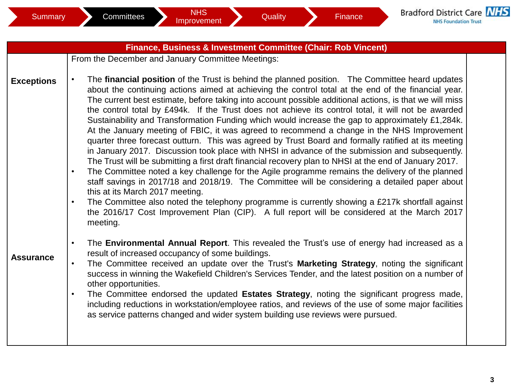|                   | Finance, Business & Investment Committee (Chair: Rob Vincent)                                                                                                                                                                                                                                                                                                                                                                                                                                                                                                                                                                                                                                                                                                                                                                                                                                                                                                                                                                                                                                                                                                                                                                                                                                                                                                                                                                               |  |
|-------------------|---------------------------------------------------------------------------------------------------------------------------------------------------------------------------------------------------------------------------------------------------------------------------------------------------------------------------------------------------------------------------------------------------------------------------------------------------------------------------------------------------------------------------------------------------------------------------------------------------------------------------------------------------------------------------------------------------------------------------------------------------------------------------------------------------------------------------------------------------------------------------------------------------------------------------------------------------------------------------------------------------------------------------------------------------------------------------------------------------------------------------------------------------------------------------------------------------------------------------------------------------------------------------------------------------------------------------------------------------------------------------------------------------------------------------------------------|--|
|                   | From the December and January Committee Meetings:                                                                                                                                                                                                                                                                                                                                                                                                                                                                                                                                                                                                                                                                                                                                                                                                                                                                                                                                                                                                                                                                                                                                                                                                                                                                                                                                                                                           |  |
| <b>Exceptions</b> | The financial position of the Trust is behind the planned position. The Committee heard updates<br>$\bullet$<br>about the continuing actions aimed at achieving the control total at the end of the financial year.<br>The current best estimate, before taking into account possible additional actions, is that we will miss<br>the control total by £494k. If the Trust does not achieve its control total, it will not be awarded<br>Sustainability and Transformation Funding which would increase the gap to approximately £1,284k.<br>At the January meeting of FBIC, it was agreed to recommend a change in the NHS Improvement<br>quarter three forecast outturn. This was agreed by Trust Board and formally ratified at its meeting<br>in January 2017. Discussion took place with NHSI in advance of the submission and subsequently.<br>The Trust will be submitting a first draft financial recovery plan to NHSI at the end of January 2017.<br>The Committee noted a key challenge for the Agile programme remains the delivery of the planned<br>$\bullet$<br>staff savings in 2017/18 and 2018/19. The Committee will be considering a detailed paper about<br>this at its March 2017 meeting.<br>The Committee also noted the telephony programme is currently showing a £217k shortfall against<br>$\bullet$<br>the 2016/17 Cost Improvement Plan (CIP). A full report will be considered at the March 2017<br>meeting. |  |
| <b>Assurance</b>  | The Environmental Annual Report. This revealed the Trust's use of energy had increased as a<br>$\bullet$<br>result of increased occupancy of some buildings.<br>The Committee received an update over the Trust's Marketing Strategy, noting the significant<br>$\bullet$<br>success in winning the Wakefield Children's Services Tender, and the latest position on a number of<br>other opportunities.<br>The Committee endorsed the updated Estates Strategy, noting the significant progress made,<br>$\bullet$<br>including reductions in workstation/employee ratios, and reviews of the use of some major facilities<br>as service patterns changed and wider system building use reviews were pursued.                                                                                                                                                                                                                                                                                                                                                                                                                                                                                                                                                                                                                                                                                                                              |  |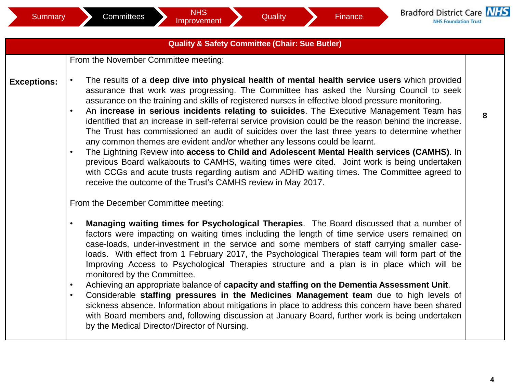## **Quality & Safety Committee (Chair: Sue Butler)**

From the November Committee meeting:

- **Exceptions:** • The results of a **deep dive into physical health of mental health service users** which provided assurance that work was progressing. The Committee has asked the Nursing Council to seek assurance on the training and skills of registered nurses in effective blood pressure monitoring.
	- An **increase in serious incidents relating to suicides**. The Executive Management Team has identified that an increase in self-referral service provision could be the reason behind the increase. The Trust has commissioned an audit of suicides over the last three years to determine whether any common themes are evident and/or whether any lessons could be learnt.
	- The Lightning Review into **access to Child and Adolescent Mental Health services (CAMHS)**. In previous Board walkabouts to CAMHS, waiting times were cited. Joint work is being undertaken with CCGs and acute trusts regarding autism and ADHD waiting times. The Committee agreed to receive the outcome of the Trust's CAMHS review in May 2017.

From the December Committee meeting:

- **Managing waiting times for Psychological Therapies**. The Board discussed that a number of factors were impacting on waiting times including the length of time service users remained on case-loads, under-investment in the service and some members of staff carrying smaller caseloads. With effect from 1 February 2017, the Psychological Therapies team will form part of the Improving Access to Psychological Therapies structure and a plan is in place which will be monitored by the Committee.
- Achieving an appropriate balance of **capacity and staffing on the Dementia Assessment Unit**.
- Considerable **staffing pressures in the Medicines Management team** due to high levels of sickness absence. Information about mitigations in place to address this concern have been shared with Board members and, following discussion at January Board, further work is being undertaken by the Medical Director/Director of Nursing.

**8**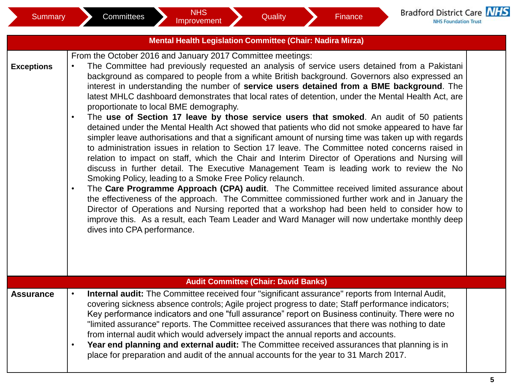|                   | <b>Mental Health Legislation Committee (Chair: Nadira Mirza)</b>                                                                                                                                                                                                                                                                                                                                                                                                                                                                                                                                                                                                                                                                                                                                                                                                                                                                                                                                                                                                                                                                                                                                                                                                                                                                                                                                                                                                                                                                                                                                                                                    |  |
|-------------------|-----------------------------------------------------------------------------------------------------------------------------------------------------------------------------------------------------------------------------------------------------------------------------------------------------------------------------------------------------------------------------------------------------------------------------------------------------------------------------------------------------------------------------------------------------------------------------------------------------------------------------------------------------------------------------------------------------------------------------------------------------------------------------------------------------------------------------------------------------------------------------------------------------------------------------------------------------------------------------------------------------------------------------------------------------------------------------------------------------------------------------------------------------------------------------------------------------------------------------------------------------------------------------------------------------------------------------------------------------------------------------------------------------------------------------------------------------------------------------------------------------------------------------------------------------------------------------------------------------------------------------------------------------|--|
| <b>Exceptions</b> | From the October 2016 and January 2017 Committee meetings:<br>The Committee had previously requested an analysis of service users detained from a Pakistani<br>$\bullet$<br>background as compared to people from a white British background. Governors also expressed an<br>interest in understanding the number of service users detained from a BME background. The<br>latest MHLC dashboard demonstrates that local rates of detention, under the Mental Health Act, are<br>proportionate to local BME demography.<br>The use of Section 17 leave by those service users that smoked. An audit of 50 patients<br>$\bullet$<br>detained under the Mental Health Act showed that patients who did not smoke appeared to have far<br>simpler leave authorisations and that a significant amount of nursing time was taken up with regards<br>to administration issues in relation to Section 17 leave. The Committee noted concerns raised in<br>relation to impact on staff, which the Chair and Interim Director of Operations and Nursing will<br>discuss in further detail. The Executive Management Team is leading work to review the No<br>Smoking Policy, leading to a Smoke Free Policy relaunch.<br>The Care Programme Approach (CPA) audit. The Committee received limited assurance about<br>$\bullet$<br>the effectiveness of the approach. The Committee commissioned further work and in January the<br>Director of Operations and Nursing reported that a workshop had been held to consider how to<br>improve this. As a result, each Team Leader and Ward Manager will now undertake monthly deep<br>dives into CPA performance. |  |
|                   | <b>Audit Committee (Chair: David Banks)</b>                                                                                                                                                                                                                                                                                                                                                                                                                                                                                                                                                                                                                                                                                                                                                                                                                                                                                                                                                                                                                                                                                                                                                                                                                                                                                                                                                                                                                                                                                                                                                                                                         |  |
| <b>Assurance</b>  | Internal audit: The Committee received four "significant assurance" reports from Internal Audit,<br>$\bullet$<br>covering sickness absence controls; Agile project progress to date; Staff performance indicators;<br>Key performance indicators and one "full assurance" report on Business continuity. There were no<br>"limited assurance" reports. The Committee received assurances that there was nothing to date<br>from internal audit which would adversely impact the annual reports and accounts.<br>Year end planning and external audit: The Committee received assurances that planning is in<br>$\bullet$<br>place for preparation and audit of the annual accounts for the year to 31 March 2017.                                                                                                                                                                                                                                                                                                                                                                                                                                                                                                                                                                                                                                                                                                                                                                                                                                                                                                                                   |  |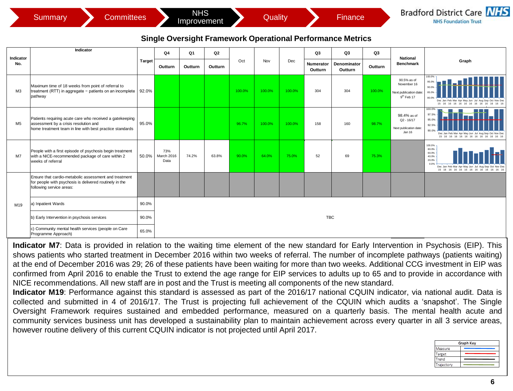| 5ummarv | Committees | <b>NHS</b><br>Improvement | Quality | rınance' | Bradford District Care NHS<br><b>NHS Foundation Trust</b> |
|---------|------------|---------------------------|---------|----------|-----------------------------------------------------------|
|---------|------------|---------------------------|---------|----------|-----------------------------------------------------------|

## **Single Oversight Framework Operational Performance Metrics**

|                                                                                | <b>Committees</b><br><b>Summary</b>                                                                                                                           |               |                           | <b>NHS</b><br>Improvement |               |        | Quality |        |                            | Finance                      |               |                                                                               | <b>Bradford District Care NHS</b><br><b>NHS Foundation Trust</b>                                                                               |
|--------------------------------------------------------------------------------|---------------------------------------------------------------------------------------------------------------------------------------------------------------|---------------|---------------------------|---------------------------|---------------|--------|---------|--------|----------------------------|------------------------------|---------------|-------------------------------------------------------------------------------|------------------------------------------------------------------------------------------------------------------------------------------------|
| <b>Single Oversight Framework Operational Performance Metrics</b><br>Indicator |                                                                                                                                                               |               |                           |                           |               |        |         |        |                            |                              |               |                                                                               |                                                                                                                                                |
| Indicator<br>No.                                                               |                                                                                                                                                               | <b>Target</b> | Q4<br>Outturn             | Q1<br>Outturn             | Q2<br>Outturn | Oct    | Nov     | Dec    | Q3<br>Numerator<br>Outturn | Q3<br>Denominator<br>Outturn | Q3<br>Outturn | <b>National</b><br><b>Benchmark</b>                                           | Graph                                                                                                                                          |
| M3                                                                             | Maximum time of 18 weeks from point of referral to<br>treatment (RTT) in aggregate - patients on an incomplete   92.0%<br>pathway                             |               |                           |                           |               | 100.0% | 100.0%  | 100.0% | 304                        | 304                          | 100.0%        | 90.5% as of<br>November 16<br>Next publication date<br>9 <sup>th</sup> Feb 17 | 100.0%<br>95.0%<br>90.0%<br>85.0%<br>80.0%<br>Dec Jan Feb Mar Ant May Jun Jul<br>15 16 16 16 16 16 16 16 16                                    |
| M <sub>5</sub>                                                                 | Patients requiring acute care who received a gatekeeping<br>assessment by a crisis resolution and<br>home treatment team in line with best practice standards | 95.0%         |                           |                           |               | 96.7%  | 100.0%  | 100.0% | 158                        | 160                          | 98.7%         | 98.4% as of<br>$Q2 - 16/17$<br>Next publication date:<br>Jan 16               | 100.0%<br>97.5%<br>95.0%<br>92.5%<br>90.0%<br>Dec Jan Feb Mar Apr May Jun Jul Aug Sep Oct Nov Dec<br>15 16 16 16 16 16 16 16 16 16 16 16 16 16 |
| M7                                                                             | People with a first episode of psychosis begin treatment<br>with a NICE-recommended package of care within 2<br>weeks of referral                             | 50.0%         | 73%<br>March 2016<br>Data | 74.2%                     | 63.8%         | 90.0%  | 64.0%   | 75.0%  | 52                         | 69                           | 75.3%         |                                                                               | 100.0%<br>80.0%<br>60.0%<br>40.0%<br>20.0%<br>0.0%<br>Dec Jan Feb Mar Apr May Jun Jul Aug<br>15 16 16 16 16 16 16 16 16 16 16 16 16 16         |
|                                                                                | Ensure that cardio-metabolic assessment and treatment<br>for people with psychosis is delivered routinely in the<br>following service areas:                  |               |                           |                           |               |        |         |        |                            |                              |               |                                                                               |                                                                                                                                                |
| M19                                                                            | a) Inpatient Wards                                                                                                                                            | 90.0%         |                           |                           |               |        |         |        |                            |                              |               |                                                                               |                                                                                                                                                |
|                                                                                | b) Early Intervention in psychosis services                                                                                                                   | 90.0%         |                           |                           |               |        |         |        | <b>TBC</b>                 |                              |               |                                                                               |                                                                                                                                                |
|                                                                                | c) Community mental health services (people on Care<br>Programme Approach)                                                                                    | 65.0%         |                           |                           |               |        |         |        |                            |                              |               |                                                                               |                                                                                                                                                |

**Indicator M7**: Data is provided in relation to the waiting time element of the new standard for Early Intervention in Psychosis (EIP). This shows patients who started treatment in December 2016 within two weeks of referral. The number of incomplete pathways (patients waiting) at the end of December 2016 was 29; 26 of these patients have been waiting for more than two weeks. Additional CCG investment in EIP was confirmed from April 2016 to enable the Trust to extend the age range for EIP services to adults up to 65 and to provide in accordance with NICE recommendations. All new staff are in post and the Trust is meeting all components of the new standard.

**Indicator M19**: Performance against this standard is assessed as part of the 2016/17 national CQUIN indicator, via national audit. Data is collected and submitted in 4 of 2016/17. The Trust is projecting full achievement of the CQUIN which audits a 'snapshot'. The Single Oversight Framework requires sustained and embedded performance, measured on a quarterly basis. The mental health acute and community services business unit has developed a sustainability plan to maintain achievement across every quarter in all 3 service areas, however routine delivery of this current CQUIN indicator is not projected until April 2017.

| Graph Key  |  |  |  |  |  |  |
|------------|--|--|--|--|--|--|
| Measure    |  |  |  |  |  |  |
| Target     |  |  |  |  |  |  |
| Trend      |  |  |  |  |  |  |
| Trajectory |  |  |  |  |  |  |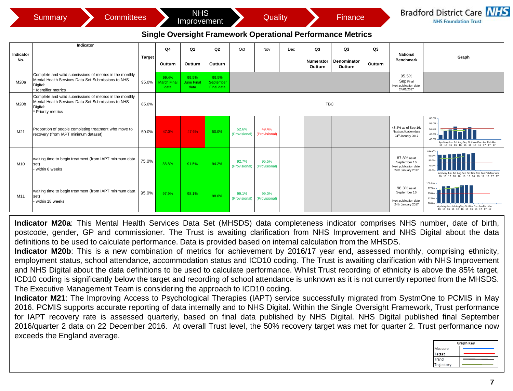|                  | <b>Committees</b><br><b>Summary</b>                                                                                                              |               |                                     | <b>NHS</b><br>Improvement          |                                  |                        | Quality                |     |                                   | Finance                                                           |               |                                                                            | <b>Bradford District Care NHS</b><br><b>NHS Foundation Trust</b>                                                                            |
|------------------|--------------------------------------------------------------------------------------------------------------------------------------------------|---------------|-------------------------------------|------------------------------------|----------------------------------|------------------------|------------------------|-----|-----------------------------------|-------------------------------------------------------------------|---------------|----------------------------------------------------------------------------|---------------------------------------------------------------------------------------------------------------------------------------------|
|                  |                                                                                                                                                  |               |                                     |                                    |                                  |                        |                        |     |                                   | <b>Single Oversight Framework Operational Performance Metrics</b> |               |                                                                            |                                                                                                                                             |
| Indicator<br>No. | Indicator                                                                                                                                        | <b>Target</b> | Q4<br>Outturn                       | Q1<br>Outturn                      | Q <sub>2</sub><br>Outturn        | Oct                    | Nov                    | Dec | Q3<br><b>Numerator</b><br>Outturn | Q3<br>Denominator<br>Outturn                                      | Q3<br>Outturn | <b>National</b><br><b>Benchmark</b>                                        | Graph                                                                                                                                       |
| M20a             | Complete and valid submissions of metrics in the monthly<br>Mental Health Services Data Set Submissions to NHS<br>Digital:<br>Identifier metrics | 95.0%         | 99.4%<br><b>March Final</b><br>data | 99.5%<br><b>June Final</b><br>data | 99.5%<br>September<br>Final data |                        |                        |     |                                   |                                                                   |               | 95.5%<br>Sep Final<br>Next publication date:<br>24/01/2017                 |                                                                                                                                             |
| M20b             | Complete and valid submissions of metrics in the monthly<br>Mental Health Services Data Set Submissions to NHS<br>Digital:<br>Priority metrics   | 85.0%         |                                     |                                    |                                  |                        |                        |     | <b>TBC</b>                        |                                                                   |               |                                                                            |                                                                                                                                             |
| M21              | Proportion of people completing treatment who move to<br>recovery (from IAPT minimum dataset)                                                    | 50.0%         | 47.0%                               | 47.6%                              | 50.0%                            | 52.6%<br>(Provisional) | 49.4%<br>(Provisional) |     |                                   |                                                                   |               | 48.4% as of Sep 16:<br>Next publication date<br>24th January 2017          | 60.0%<br>55.0%<br>50.05<br>45.C<br>40.0<br>Apr May Jun Jul Aug Sep Oct Nov Dec Jan Feb Mar<br>16 16 16 16 16 16 16 16 16 16 17 17 17        |
| M10              | waiting time to begin treatment (from IAPT minimum data<br>set)<br>within 6 weeks                                                                | 75.0%         | 88.8%                               | 91.5%                              | 94.2%                            | 92.7%<br>(Provisional) | 95.5%<br>(Provisional) |     |                                   |                                                                   |               | 87.8% as at<br>September 16<br>Next publication date:<br>24th January 2017 | 100.0%<br>90.05<br>80.09<br>70.09<br>60.0%<br>Apr May Jun Jul Aug Sep Oct Nov Dec Jan Feb Mar Apr<br>16 16 16 16 16 16 16 16 16 17 17 17 17 |
| M11              | waiting time to begin treatment (from IAPT minimum data<br>set)<br>within 18 weeks                                                               | 95.0%         | 97.9%                               | 98.1%                              | 98.6%                            | 99.1%<br>(Provisional) | 99.0%<br>(Provisional) |     |                                   |                                                                   |               | 98.3% as at<br>September 16<br>Next publication date:<br>24th January 2017 | 100.0%<br>97.5%<br>95.0<br>90.0%<br>Apr May Jun Jul AugSep Oct Nov Dec Jan Feb Mar<br>16 16 16 16 16 16 16 16 16 17 17 17                   |

**Indicator M20a**: This Mental Health Services Data Set (MHSDS) data completeness indicator comprises NHS number, date of birth, postcode, gender, GP and commissioner. The Trust is awaiting clarification from NHS Improvement and NHS Digital about the data definitions to be used to calculate performance. Data is provided based on internal calculation from the MHSDS.

**Indicator M20b**: This is a new combination of metrics for achievement by 2016/17 year end, assessed monthly, comprising ethnicity, employment status, school attendance, accommodation status and ICD10 coding. The Trust is awaiting clarification with NHS Improvement and NHS Digital about the data definitions to be used to calculate performance. Whilst Trust recording of ethnicity is above the 85% target, ICD10 coding is significantly below the target and recording of school attendance is unknown as it is not currently reported from the MHSDS. The Executive Management Team is considering the approach to ICD10 coding.

**Indicator M21**: The Improving Access to Psychological Therapies (IAPT) service successfully migrated from SystmOne to PCMIS in May 2016. PCMIS supports accurate reporting of data internally and to NHS Digital. Within the Single Oversight Framework, Trust performance for IAPT recovery rate is assessed quarterly, based on final data published by NHS Digital. NHS Digital published final September 2016/quarter 2 data on 22 December 2016. At overall Trust level, the 50% recovery target was met for quarter 2. Trust performance now exceeds the England average.

| Graph Key |  |  |  |  |  |  |  |
|-----------|--|--|--|--|--|--|--|
| Measure   |  |  |  |  |  |  |  |
| larget    |  |  |  |  |  |  |  |
| rend      |  |  |  |  |  |  |  |
| rajectory |  |  |  |  |  |  |  |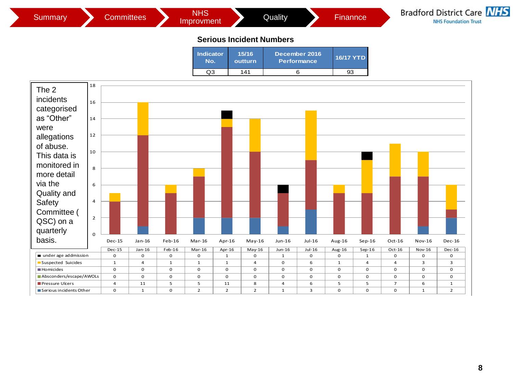

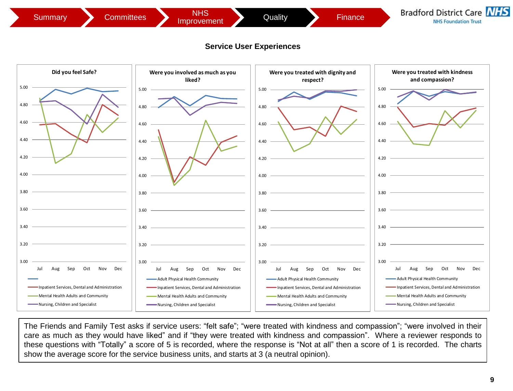



The Friends and Family Test asks if service users: "felt safe"; "were treated with kindness and compassion"; "were involved in their care as much as they would have liked" and if "they were treated with kindness and compassion". Where a reviewer responds to these questions with "Totally" a score of 5 is recorded, where the response is "Not at all" then a score of 1 is recorded. The charts show the average score for the service business units, and starts at 3 (a neutral opinion).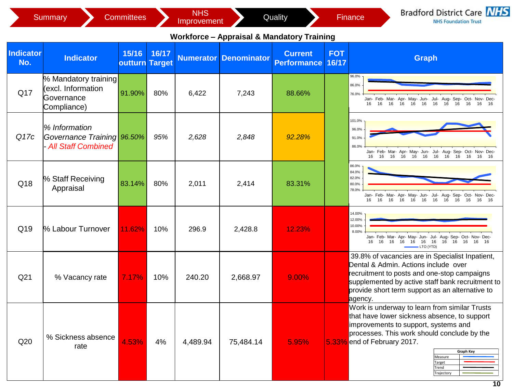|                  | <b>Summary</b>                                                          | <b>Committees</b>              |       | <b>NHS</b><br>Improvement |                                                       | Quality                              |                     | <b>Bradford District Care NHS</b><br>Finance<br><b>NHS Foundation Trust</b>                                                                                                                                                                                                   |
|------------------|-------------------------------------------------------------------------|--------------------------------|-------|---------------------------|-------------------------------------------------------|--------------------------------------|---------------------|-------------------------------------------------------------------------------------------------------------------------------------------------------------------------------------------------------------------------------------------------------------------------------|
|                  |                                                                         |                                |       |                           | <b>Workforce - Appraisal &amp; Mandatory Training</b> |                                      |                     |                                                                                                                                                                                                                                                                               |
| Indicator<br>No. | <b>Indicator</b>                                                        | 15/16<br><b>outturn Target</b> | 16/17 |                           | <b>Numerator Denominator</b>                          | <b>Current</b><br><b>Performance</b> | <b>FOT</b><br>16/17 | <b>Graph</b>                                                                                                                                                                                                                                                                  |
| Q17              | % Mandatory training<br>(excl. Information<br>Governance<br>Compliance) | 91.90%                         | 80%   | 6,422                     | 7,243                                                 | 88.66%                               |                     | 96.0%<br>86.0%<br>76.0%<br>Jan- Feb- Mar- Apr- May- Jun- Jul- Aug- Sep- Oct- Nov- Dec-<br>16<br>16<br>16<br>16  16  16  16  16  16  16  16<br>16                                                                                                                              |
| Q17c             | % Information<br>Governance Training 96.50%<br>- All Staff Combined     |                                | 95%   | 2,628                     | 2,848                                                 | 92.28%                               |                     | 101.0%<br>96.0%<br>91.0%<br>86.0%<br>Jan- Feb- Mar- Apr- May- Jun- Jul- Aug- Sep- Oct- Nov- Dec-<br>16 16 16 16<br>16 16 16<br>16<br>16<br>16<br>16                                                                                                                           |
| Q18              | % Staff Receiving<br>Appraisal                                          | 83.14%                         | 80%   | 2,011                     | 2,414                                                 | 83.31%                               |                     | 86.0%<br>84.0%<br>82.0%<br>80.0%<br>78.0%<br>Jan- Feb- Mar- Apr- May- Jun- Jul- Aug- Sep- Oct- Nov- Dec-<br>16<br>16<br>16<br>16<br>16 16 16<br>16 16 16 16<br>16                                                                                                             |
| Q19              | % Labour Turnover                                                       | 11.62%                         | 10%   | 296.9                     | 2,428.8                                               | 12.23%                               |                     | 14.00%<br>12.00%<br>10.00%<br>8.00%<br>Jan- Feb- Mar- Apr- May- Jun- Jul- Aug- Sep- Oct- Nov- Dec-<br>16 16<br>16  16  16  16  16  16  16<br>16 16<br>16<br>LTO (YTD)                                                                                                         |
| Q <sub>21</sub>  | % Vacancy rate                                                          | 7.17%                          | 10%   | 240.20                    | 2,668.97                                              | 9.00%                                |                     | 39.8% of vacancies are in Specialist Inpatient,<br>Dental & Admin. Actions include over<br>recruitment to posts and one-stop campaigns<br>supplemented by active staff bank recruitment to<br>provide short term support as an alternative to<br>agency.                      |
| Q20              | % Sickness absence<br>rate                                              | 4.53%                          | 4%    | 4,489.94                  | 75,484.14                                             | 5.95%                                | 5.33%               | Work is underway to learn from similar Trusts<br>that have lower sickness absence, to support<br>improvements to support, systems and<br>processes. This work should conclude by the<br>end of February 2017.<br><b>Graph Key</b><br>Measure<br>Target<br>Trend<br>Trajectory |

the control of the control of the con-